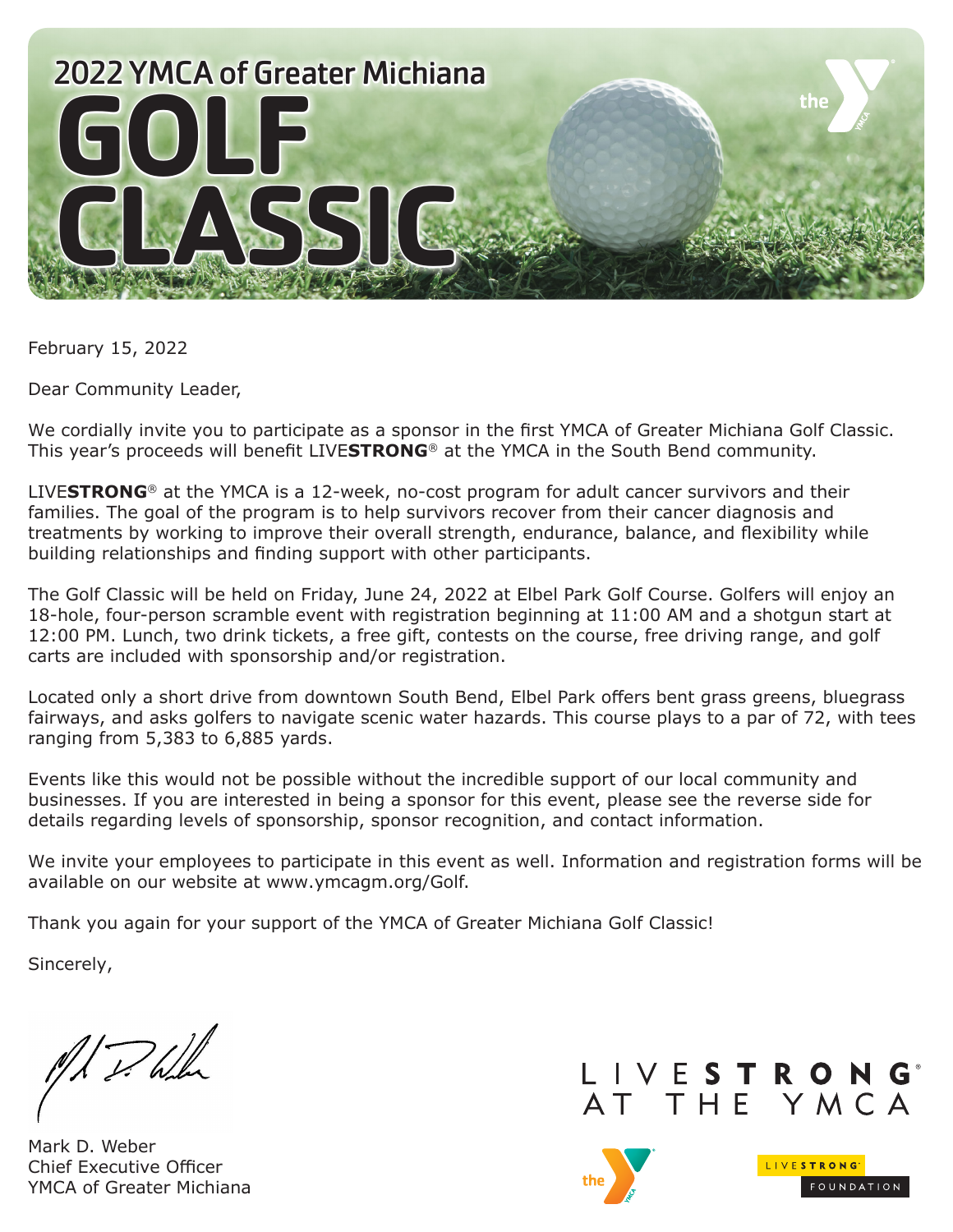

February 15, 2022

Dear Community Leader,

We cordially invite you to participate as a sponsor in the first YMCA of Greater Michiana Golf Classic. This year's proceeds will benefit LIVE**STRONG**® at the YMCA in the South Bend community.

LIVE**STRONG**® at the YMCA is a 12-week, no-cost program for adult cancer survivors and their families. The goal of the program is to help survivors recover from their cancer diagnosis and treatments by working to improve their overall strength, endurance, balance, and flexibility while building relationships and finding support with other participants.

The Golf Classic will be held on Friday, June 24, 2022 at Elbel Park Golf Course. Golfers will enjoy an 18-hole, four-person scramble event with registration beginning at 11:00 AM and a shotgun start at 12:00 PM. Lunch, two drink tickets, a free gift, contests on the course, free driving range, and golf carts are included with sponsorship and/or registration.

Located only a short drive from downtown South Bend, Elbel Park offers bent grass greens, bluegrass fairways, and asks golfers to navigate scenic water hazards. This course plays to a par of 72, with tees ranging from 5,383 to 6,885 yards.

Events like this would not be possible without the incredible support of our local community and businesses. If you are interested in being a sponsor for this event, please see the reverse side for details regarding levels of sponsorship, sponsor recognition, and contact information.

We invite your employees to participate in this event as well. Information and registration forms will be available on our website at www.ymcagm.org/Golf.

Thank you again for your support of the YMCA of Greater Michiana Golf Classic!

Sincerely,

M. P. Wh

Mark D. Weber Chief Executive Officer YMCA of Greater Michiana



LIVESTRONG

FOUNDATION

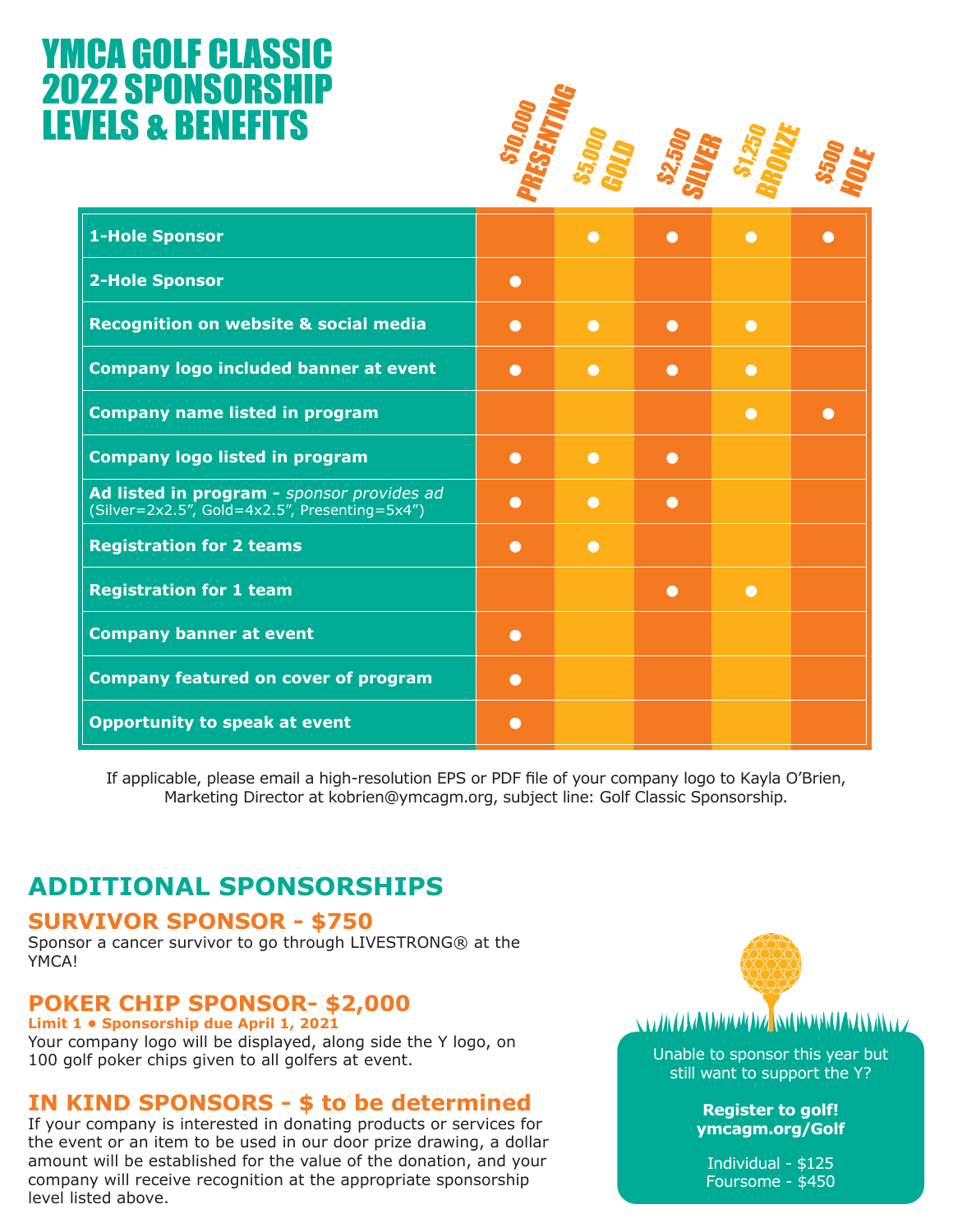# YMCA GOLF CLASSIC **2022 SPONSORSH** LEVELS & BENEFITS

| <u>ZZ SPUNSUKSMIP</u><br><b>VELS &amp; BENEFITS</b>                                         |           |           |           |           |           |
|---------------------------------------------------------------------------------------------|-----------|-----------|-----------|-----------|-----------|
| <b>1-Hole Sponsor</b>                                                                       |           | $\bullet$ | $\bullet$ | $\bullet$ |           |
| <b>2-Hole Sponsor</b>                                                                       | $\bullet$ |           |           |           |           |
| Recognition on website & social media                                                       | $\bullet$ | $\bullet$ | $\bullet$ | $\bullet$ |           |
| <b>Company logo included banner at event</b>                                                | $\bullet$ | $\bullet$ | $\bullet$ | $\bullet$ |           |
| <b>Company name listed in program</b>                                                       |           |           |           | $\bullet$ | $\bullet$ |
| <b>Company logo listed in program</b>                                                       | $\bullet$ | $\bullet$ | $\bullet$ |           |           |
| Ad listed in program - sponsor provides ad<br>(Silver=2x2.5", Gold=4x2.5", Presenting=5x4") | $\bullet$ | $\bullet$ | $\bullet$ |           |           |
| <b>Registration for 2 teams</b>                                                             | $\bullet$ | $\bullet$ |           |           |           |
| <b>Registration for 1 team</b>                                                              |           |           | $\bullet$ | $\bullet$ |           |
| <b>Company banner at event</b>                                                              | $\bullet$ |           |           |           |           |
| <b>Company featured on cover of program</b>                                                 | $\bullet$ |           |           |           |           |
| <b>Opportunity to speak at event</b>                                                        | $\bullet$ |           |           |           |           |

If applicable, please email a high-resolution EPS or PDF file of your company logo to Kayla O'Brien, Marketing Director at kobrien@ymcagm.org, subject line: Golf Classic Sponsorship.

### **ADDITIONAL SPONSORSHIPS**

#### **SURVIVOR SPONSOR - \$750**

Sponsor a cancer survivor to go through LIVESTRONG® at the YMCA!

#### **POKER CHIP SPONSOR- \$2,000**

**Limit 1 • Sponsorship due April 1, 2021** Your company logo will be displayed, along side the Y logo, on 100 golf poker chips given to all golfers at event.

#### **IN KIND SPONSORS - \$ to be determined**

If your company is interested in donating products or services for the event or an item to be used in our door prize drawing, a dollar amount will be established for the value of the donation, and your company will receive recognition at the appropriate sponsorship level listed above.



#### $\sim$  of the state of the state of the state of the state of the state of the state of the state of the state of the state of the state of the state of the state of the state of the state of the state of the state of the s

Unable to sponsor this year but still want to support the Y?

> **Register to golf! ymcagm.org/Golf**

Individual - \$125 Foursome - \$450